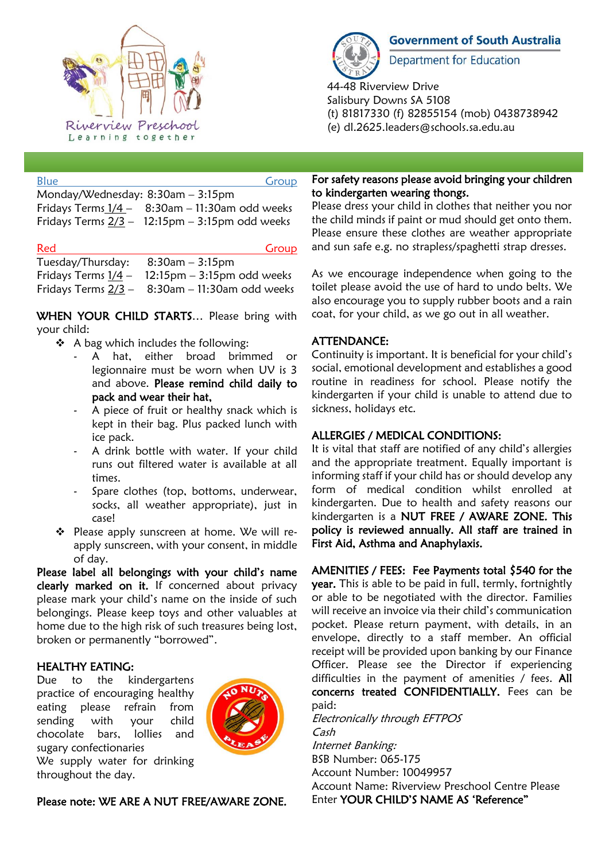

| <b>Blue</b>                                          | Group |
|------------------------------------------------------|-------|
| Monday/Wednesday: 8:30am - 3:15pm                    |       |
| Fridays Terms $1/4 - 8:30$ am - 11:30am odd weeks    |       |
| Fridays Terms $2/3 - 12:15$ pm $- 3:15$ pm odd weeks |       |

| Red                                  | Group                                                |
|--------------------------------------|------------------------------------------------------|
| Tuesday/Thursday: $8:30$ am - 3:15pm |                                                      |
|                                      | Fridays Terms $1/4 - 12:15$ pm $- 3:15$ pm odd weeks |

Fridays Terms 2/3 – 8:30am – 11:30am odd weeks

WHEN YOUR CHILD STARTS... Please bring with your child:

- ❖ A bag which includes the following:
	- A hat, either broad brimmed or legionnaire must be worn when UV is 3 and above. Please remind child daily to pack and wear their hat,
	- A piece of fruit or healthy snack which is kept in their bag. Plus packed lunch with ice pack.
	- A drink bottle with water. If your child runs out filtered water is available at all times.
	- Spare clothes (top, bottoms, underwear, socks, all weather appropriate), just in case!
- ❖ Please apply sunscreen at home. We will reapply sunscreen, with your consent, in middle of day.

Please label all belongings with your child's name clearly marked on it. If concerned about privacy please mark your child's name on the inside of such belongings. Please keep toys and other valuables at home due to the high risk of such treasures being lost, broken or permanently "borrowed".

# HEALTHY EATING:

Due to the kindergartens practice of encouraging healthy eating please refrain from sending with your child chocolate bars, lollies and sugary confectionaries



We supply water for drinking throughout the day.

Please note: WE ARE A NUT FREE/AWARE ZONE.



ī

**Government of South Australia** 

Department for Education

44-48 Riverview Drive Salisbury Downs SA 5108 (t) 81817330 (f) 82855154 (mob) 0438738942 (e) dl.2625.leaders@schools.sa.edu.au

### For safety reasons please avoid bringing your children to kindergarten wearing thongs.

Please dress your child in clothes that neither you nor the child minds if paint or mud should get onto them. Please ensure these clothes are weather appropriate and sun safe e.g. no strapless/spaghetti strap dresses.

As we encourage independence when going to the toilet please avoid the use of hard to undo belts. We also encourage you to supply rubber boots and a rain coat, for your child, as we go out in all weather.

# ATTENDANCE:

Continuity is important. It is beneficial for your child's social, emotional development and establishes a good routine in readiness for school. Please notify the kindergarten if your child is unable to attend due to sickness, holidays etc.

# ALLERGIES / MEDICAL CONDITIONS:

It is vital that staff are notified of any child's allergies and the appropriate treatment. Equally important is informing staff if your child has or should develop any form of medical condition whilst enrolled at kindergarten. Due to health and safety reasons our kindergarten is a NUT FREE / AWARE ZONE. This policy is reviewed annually. All staff are trained in First Aid, Asthma and Anaphylaxis.

AMENITIES / FEES: Fee Payments total \$540 for the year. This is able to be paid in full, termly, fortnightly or able to be negotiated with the director. Families will receive an invoice via their child's communication pocket. Please return payment, with details, in an envelope, directly to a staff member. An official receipt will be provided upon banking by our Finance Officer. Please see the Director if experiencing difficulties in the payment of amenities / fees. All concerns treated CONFIDENTIALLY. Fees can be paid:

Electronically through EFTPOS Cash Internet Banking: BSB Number: 065-175 Account Number: 10049957 Account Name: Riverview Preschool Centre Please Enter YOUR CHILD'S NAME AS 'Reference"